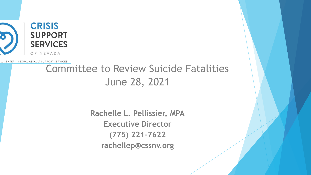

LL CENTER · SEXUAL ASSAULT SUPPORT SERVICES

#### Committee to Review Suicide Fatalities June 28, 2021

**Rachelle L. Pellissier, MPA Executive Director (775) 221-7622 rachellep@cssnv.org**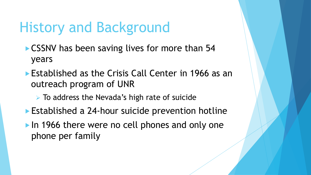# History and Background

- ▶ CSSNV has been saving lives for more than 54 years
- **Established as the Crisis Call Center in 1966 as an** outreach program of UNR
	- ➢ To address the Nevada's high rate of suicide
- ▶ Established a 24-hour suicide prevention hotline
- In 1966 there were no cell phones and only one phone per family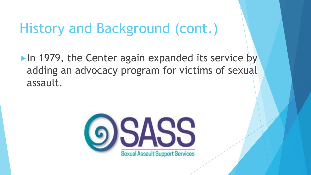### History and Background (cont.)

In 1979, the Center again expanded its service by adding an advocacy program for victims of sexual assault.

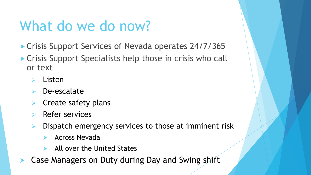# What do we do now?

- ► Crisis Support Services of Nevada operates 24/7/365
- ▶ Crisis Support Specialists help those in crisis who call or text
	- ➢ Listen
	- ➢ De-escalate
	- $\triangleright$  Create safety plans
	- ➢ Refer services
	- $\triangleright$  Dispatch emergency services to those at imminent risk
		- Across Nevada
		- All over the United States
- Case Managers on Duty during Day and Swing shift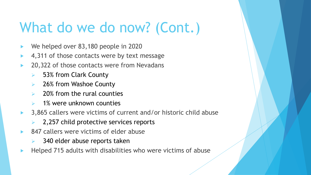- We helped over 83,180 people in 2020
- 4,311 of those contacts were by text message
- 20,322 of those contacts were from Nevadans
	- ➢ 53% from Clark County
	- 26% from Washoe County
	- ➢ 20% from the rural counties
	- 1% were unknown counties
- 3,865 callers were victims of current and/or historic child abuse
	- $\geq$  2,257 child protective services reports
- 847 callers were victims of elder abuse
	- $\triangleright$  340 elder abuse reports taken
- Helped 715 adults with disabilities who were victims of abuse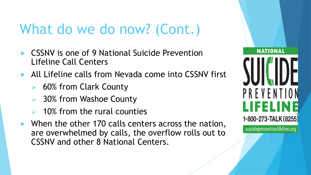- CSSNV is one of 9 National Suicide Prevention Lifeline Call Centers
- All Lifeline calls from Nevada come into CSSNV first
	- ➢ 60% from Clark County
	- ➢ 30% from Washoe County
	- ➢ 10% from the rural counties
- ▶ When the other 170 calls centers across the nation, are overwhelmed by calls, the overflow rolls out to CSSNV and other 8 National Centers.

**NATIONAL** PREVENTI 1-800-273-TALK (8255)

suicidepreventionlifeline.org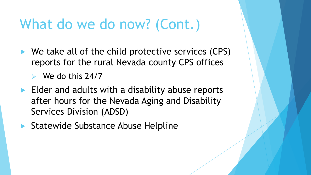$\blacktriangleright$  We take all of the child protective services (CPS) reports for the rural Nevada county CPS offices

 $\triangleright$  We do this 24/7

- $\blacktriangleright$  Elder and adults with a disability abuse reports after hours for the Nevada Aging and Disability Services Division (ADSD)
- ▶ Statewide Substance Abuse Helpline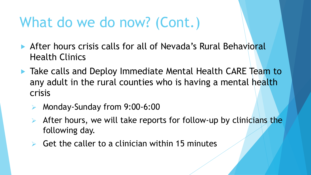- After hours crisis calls for all of Nevada's Rural Behavioral Health Clinics
- ▶ Take calls and Deploy Immediate Mental Health CARE Team to any adult in the rural counties who is having a mental health crisis
	- ➢ Monday-Sunday from 9:00-6:00
	- ➢ After hours, we will take reports for follow-up by clinicians the following day.
	- $\triangleright$  Get the caller to a clinician within 15 minutes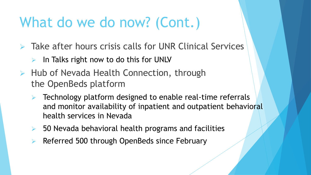- ➢ Take after hours crisis calls for UNR Clinical Services
	- $\triangleright$  In Talks right now to do this for UNLV
- ➢ Hub of Nevada Health Connection, through the OpenBeds platform
	- ➢ Technology platform designed to enable real-time referrals and monitor availability of inpatient and outpatient behavioral health services in Nevada
	- $\triangleright$  50 Nevada behavioral health programs and facilities
	- ➢ Referred 500 through OpenBeds since February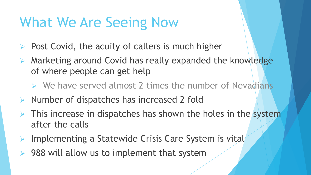# What We Are Seeing Now

- Post Covid, the acuity of callers is much higher
- $\triangleright$  Marketing around Covid has really expanded the knowledge of where people can get help
	- $\triangleright$  We have served almost 2 times the number of Nevadians
- ➢ Number of dispatches has increased 2 fold
- **EXTREE IN** This increase in dispatches has shown the holes in the system after the calls
- ➢ Implementing a Statewide Crisis Care System is vital
- $\triangleright$  988 will allow us to implement that system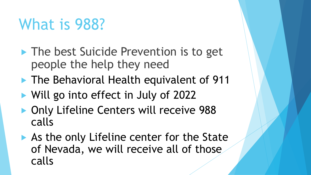# What is 988?

- **The best Suicide Prevention is to get** people the help they need
- **The Behavioral Health equivalent of 911**
- ▶ Will go into effect in July of 2022
- ▶ Only Lifeline Centers will receive 988 calls
- As the only Lifeline center for the State of Nevada, we will receive all of those calls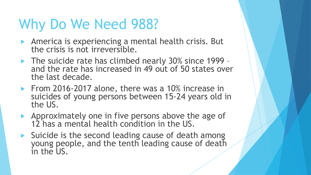# Why Do We Need 988?

- **America is experiencing a mental health crisis. But** the crisis is not irreversible.
- The suicide rate has climbed nearly 30% since 1999 and the rate has increased in 49 out of 50 states over the last decade.
- From 2016-2017 alone, there was a 10% increase in suicides of young persons between 15-24 years old in the US.
- Approximately one in five persons above the age of 12 has a mental health condition in the US.
- $\triangleright$  Suicide is the second leading cause of death among young people, and the tenth leading cause of death in the US.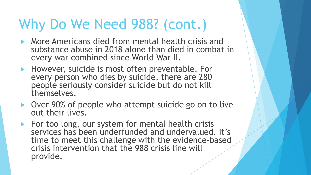# Why Do We Need 988? (cont.)

- **More Americans died from mental health crisis and** substance abuse in 2018 alone than died in combat in every war combined since World War II.
- ▶ However, suicide is most often preventable. For every person who dies by suicide, there are 280 people seriously consider suicide but do not kill themselves.
- ▶ Over 90% of people who attempt suicide go on to live out their lives.
- $\blacktriangleright$  For too long, our system for mental health crisis services has been underfunded and undervalued. It's time to meet this challenge with the evidence-based crisis intervention that the 988 crisis line will provide.